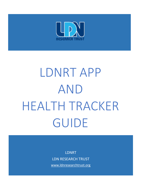

# LDNRT APP AND HEALTH TRACKER GUIDE

LDNRT LDN RESEARCH TRUST

[www.ldnresearchtrust.org](http://www.ldnresearchtrust.org/)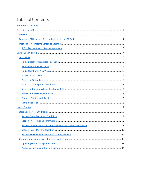# Table of Contents

<span id="page-1-0"></span>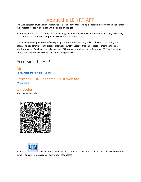# About the LDNRT APP

The LDN Research Trust Health Tracker App is a FREE, handy tool to help people with chronic conditions track their medical issues in one place while you are on the go!

All information is stored securely and compliantly, and identifiable data won't be shared with any third party. The patient is in control of their personalised data at all times.

The APP was developed to simplify navigating the website by providing links to the most commonly used pages. The app offers a Health Tracker that will allow LDN users to track all aspects of their health, from Medications – to Quality of Life, all aspects of LDN, keep a journal and more. Download PDFs which can be shared with medical professionals for monitoring purposes.

# <span id="page-2-0"></span>Accessing the APP

<span id="page-2-1"></span>**Directly** To download the [APP, click this link](https://form.ldnresearchtrust.org/app/221215784789972)

#### <span id="page-2-2"></span>From the LDN Research Trust website [Website Link](https://ldnresearchtrust.org/app-health-tracker)

QR Codes Scan the below code





A shortcut - will be added to your desktop or home screen if you elect to save the link. You should install it on your home screen or desktop for easy access.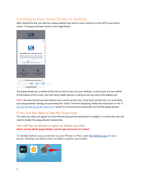## <span id="page-3-0"></span>Installing to Your Home Screen or Desktop

After clicking the link, you will see a popup asking if you want to save a shortcut to the APP to your home screen. The popup will look similar to the image below.

|    | Add LDNRT APP to your home screen?                                                               |  |
|----|--------------------------------------------------------------------------------------------------|--|
|    | Install this application on your Home screen for<br>quick and easy access when you're on the go. |  |
|    | Just Tap <sup>1</sup> [1] then "Add to home screen"                                              |  |
|    |                                                                                                  |  |
| l. |                                                                                                  |  |

The popup shows you a symbol of the icon to click to save it to your desktop. In most cases, the icon will be at the bottom of the screen, but with some mobile devices, it will be at the top next to the address bar.

NOTE: We have found that some iPhone users cannot see the icon. If you don't see the icon, it is most likely your popup blocker settings are preventing the "share" link from displaying. Follow the instructions in the ["If](#page-3-1)  [you are not able to see the share icon"](#page-3-1) section for instructions to temporarily turn off the popup blocker.

#### <span id="page-3-1"></span>If You Are Not Able to See the Share Icon

The share icon does not appear on some iPhones because the pop blocker is enabled. To correct this, you will need to disable the popup blocker temporarily.

#### *Turn Off Pop-Up Blocker in Safari on iPhone and iPad. Before turning off the popup blocker, exit the app and ensure it is closed.*

To disable Safari's pop-up blocker on your iPhone or iPad, open [the Settings app](about:blank) on your phone. Settings are where many of Safari's options are located.

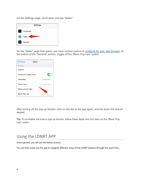On the Settings page, scroll down and tap "Safari."



On the "Safari" page that opens, you have various options to [configure for your web browser.](about:blank) At the bottom of the "General" section, toggle off the "Block Pop-Ups" option.

| <b>くSettings</b>                | Safari         |
|---------------------------------|----------------|
| <b>GENERAL</b>                  |                |
| AutoFill                        |                |
| <b>Frequently Visited Sites</b> |                |
| Favourites                      | Favourites >   |
| Open Links                      | In New Tab $>$ |
| Show Icons in Tabs              |                |
| <b>Block Pop-ups</b>            |                |

After turning off the pop-up blocker, click on the link to the app again, and the share link should appear.

**Tip:** To re-enable the built-in pop-up blocker, follow these steps and turn back on the "Block Pop-Ups" option.

# <span id="page-4-0"></span>Using the LDNRT APP

Once opened, you will see the below screens.

You can then easily use the app to navigate different areas of the LDNRT website through the quick links.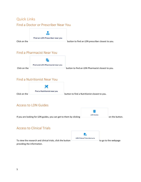# <span id="page-5-1"></span><span id="page-5-0"></span>Quick Links Find a Doctor or Prescriber Near You



Click on the **button to find an LDN** prescriber closest to you.

### <span id="page-5-2"></span>Find a Pharmacist Near You



## <span id="page-5-3"></span>Find a Nutritionist Near You



#### <span id="page-5-4"></span>Access to LDN Guides

E **LDN** Guides If you are looking for LDN guides, you can get to them by clicking  $\Box$ 

## <span id="page-5-5"></span>Access to Clinical Trials

To view the research and clinical trials, click the button  $\Box$  to go to the webpage providing the information.

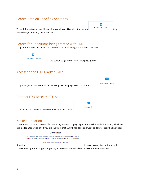#### <span id="page-6-0"></span>Search Data on Specific Conditions

To get information on specific conditions and using LDN, click the button  $\Box$ the webpage providing the information.

#### <span id="page-6-1"></span>Search for Conditions being treated with LDN

To get information specific to the conditions currently being treated with LDN, click

ö **Conditions Treated** 

the button to go to the LDNRT webpage quickly.

#### <span id="page-6-2"></span>Access to the LDN Market Place



#### <span id="page-6-3"></span>Contact LDN Research Trust

|                                                          | <b>AF</b>         |
|----------------------------------------------------------|-------------------|
|                                                          | <b>Contact Us</b> |
|                                                          |                   |
| Click the button to contact the LDN Research Trust team. |                   |

#### <span id="page-6-4"></span>Make a Donation

LDN Research Trust is a non-profit charity organization largely dependent on charitable donations, which are eligible for a tax write-off. If you like the work that LDNRT has done and want to donate, click the link under

#### **Donations**

The LDN Research Trust is a non-profit charity, which receives no funding. To ontinue to offer this App and Heath Tracker, donations would be appreciated.

Click or tap here to make a donation.

donation donation through the make a contribution through the make a contribution through the

LDNRT webpage. Your support is greatly appreciated and will allow us to continue our mission.

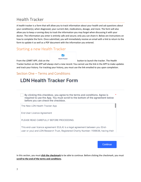# <span id="page-7-0"></span>Health Tracker

A health tracker is a form that will allow you to track information about your health and ask questions about your condition(s), when diagnosed, your current diet, medications, dosage, and more. The form will also allow you to keep a running diary to track the information you may forget when discussing it with your doctor. The information you enter is entirely safe and secure; only you can share it. Below are instructions on how to complete the form. Once submitted, you will immediately receive an email with a link to return to the form to update it as well as a PDF document with the information you entered.

<span id="page-7-1"></span>Starting a new Health Tracker

| <b>Health Tracker</b> |  |
|-----------------------|--|

From the LDNRT APP, click on the **button to launch the tracker. The Health** Tracker button on the APP will always start a new record. You cannot use the link in the APP to make updates and track your history. For tracking your history, you must use the link emailed to you upon completion.

## <span id="page-7-2"></span>Section One – Terms and Conditions

# **LDN Health Tracker Form**

By clicking this checkbox, you agree to the terms and conditions. Agree is required to use the App. You must scroll to the bottom of the agreement below before you can check the checkbox.

The New LDN Health Tracker App

End User Licence Agreement

PLEASE READ CAREFULLY BEFORE PROCEEDING.

This end-user licence agreement (EULA) is a legal agreement between you (Enduser or you) and LDN Research Trust, Registered Charity Number: 1106636, having their



In this section, you must **click the checkmark** to be able to continue. Before clicking the checkmark, you must **scroll to the end of the terms and conditions**.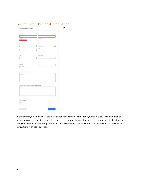| Name +                                            |            |                          |
|---------------------------------------------------|------------|--------------------------|
|                                                   |            |                          |
| First Steel                                       | Led Name   |                          |
| • также верх                                      |            |                          |
| Email Address +                                   | Date +     |                          |
|                                                   | 05-18-2022 | ÷                        |
|                                                   | Sale:      |                          |
| confirm your email                                |            |                          |
| exemplo@intample.com                              |            |                          |
|                                                   |            |                          |
| Age +                                             | Country *  |                          |
|                                                   |            | $\overline{\phantom{a}}$ |
|                                                   |            |                          |
| Gender +                                          | Height *   |                          |
| O Male                                            |            |                          |
| C Fertain                                         |            |                          |
| Gender Neutral                                    |            |                          |
|                                                   |            |                          |
|                                                   |            |                          |
| Condition/s and Diagnosis Date/s +                |            |                          |
|                                                   |            |                          |
| Type new                                          |            |                          |
|                                                   |            |                          |
|                                                   |            |                          |
|                                                   |            |                          |
|                                                   |            |                          |
| What symptoms did you have before starting LDN? + |            |                          |
|                                                   |            |                          |
| Type new                                          |            |                          |
|                                                   |            |                          |
|                                                   |            |                          |
|                                                   |            | h,                       |
|                                                   |            |                          |
|                                                   |            |                          |
|                                                   |            |                          |
| Are you taking LDN? +<br>Rick Started             |            |                          |
| O Yet                                             |            |                          |

# <span id="page-8-0"></span>Section Two – Personal Information

In this section, you must enter the information for every box with a red \*, which is every field. If you fail to answer any of the questions, you will get a red box around the question and an error message instructing you that you failed to answer a required field. Once all questions are answered, click the next button. Follow all instructions with each question.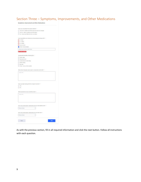## <span id="page-9-0"></span>Section Three – Symptoms, Improvements, and Other Medications

| Have you completed this section before? +<br>The and my distalls are still the same and have not changed<br>We but I need to update some information<br>hio, I have never filled this form out before.<br>How long before you noticed any improvements taking LDN7 *<br>$O$ 1-6 days<br>$O$ 1-2 weeks<br>$O3-4$ unnits<br>Over a month<br>Other: Provide details<br>Please type another option here<br>Type new<br>) Yes<br>h(n)<br>What symptoms do you currently have? +<br>Type new<br>Please Select<br>$\sim$<br>How many prescription medications do you take now? *<br>Please Select<br>$\omega$ | Symptoms, Improvement and Other Medications |  |
|--------------------------------------------------------------------------------------------------------------------------------------------------------------------------------------------------------------------------------------------------------------------------------------------------------------------------------------------------------------------------------------------------------------------------------------------------------------------------------------------------------------------------------------------------------------------------------------------------------|---------------------------------------------|--|
|                                                                                                                                                                                                                                                                                                                                                                                                                                                                                                                                                                                                        |                                             |  |
|                                                                                                                                                                                                                                                                                                                                                                                                                                                                                                                                                                                                        |                                             |  |
|                                                                                                                                                                                                                                                                                                                                                                                                                                                                                                                                                                                                        |                                             |  |
|                                                                                                                                                                                                                                                                                                                                                                                                                                                                                                                                                                                                        |                                             |  |
|                                                                                                                                                                                                                                                                                                                                                                                                                                                                                                                                                                                                        |                                             |  |
|                                                                                                                                                                                                                                                                                                                                                                                                                                                                                                                                                                                                        |                                             |  |
|                                                                                                                                                                                                                                                                                                                                                                                                                                                                                                                                                                                                        |                                             |  |
|                                                                                                                                                                                                                                                                                                                                                                                                                                                                                                                                                                                                        |                                             |  |
|                                                                                                                                                                                                                                                                                                                                                                                                                                                                                                                                                                                                        |                                             |  |
|                                                                                                                                                                                                                                                                                                                                                                                                                                                                                                                                                                                                        |                                             |  |
|                                                                                                                                                                                                                                                                                                                                                                                                                                                                                                                                                                                                        |                                             |  |
| @ THILBATIS HIGHING.<br>Unexpected benefits of taking LDN *<br>better cleap                                                                                                                                                                                                                                                                                                                                                                                                                                                                                                                            |                                             |  |
|                                                                                                                                                                                                                                                                                                                                                                                                                                                                                                                                                                                                        |                                             |  |
|                                                                                                                                                                                                                                                                                                                                                                                                                                                                                                                                                                                                        |                                             |  |
| Improved mood<br>overall sense of well-being<br>better energy<br>I less pain<br>Other: List any other benefits<br>What other therapies were used in conjunction with LDN7 +<br>How many prescription medications did you take before LDN? +                                                                                                                                                                                                                                                                                                                                                            |                                             |  |
|                                                                                                                                                                                                                                                                                                                                                                                                                                                                                                                                                                                                        |                                             |  |
|                                                                                                                                                                                                                                                                                                                                                                                                                                                                                                                                                                                                        |                                             |  |
|                                                                                                                                                                                                                                                                                                                                                                                                                                                                                                                                                                                                        |                                             |  |
|                                                                                                                                                                                                                                                                                                                                                                                                                                                                                                                                                                                                        |                                             |  |
|                                                                                                                                                                                                                                                                                                                                                                                                                                                                                                                                                                                                        |                                             |  |
|                                                                                                                                                                                                                                                                                                                                                                                                                                                                                                                                                                                                        |                                             |  |
|                                                                                                                                                                                                                                                                                                                                                                                                                                                                                                                                                                                                        |                                             |  |
| Have you been taking LDN for at least 6 months? +                                                                                                                                                                                                                                                                                                                                                                                                                                                                                                                                                      |                                             |  |
|                                                                                                                                                                                                                                                                                                                                                                                                                                                                                                                                                                                                        |                                             |  |
|                                                                                                                                                                                                                                                                                                                                                                                                                                                                                                                                                                                                        |                                             |  |
|                                                                                                                                                                                                                                                                                                                                                                                                                                                                                                                                                                                                        |                                             |  |
|                                                                                                                                                                                                                                                                                                                                                                                                                                                                                                                                                                                                        |                                             |  |
|                                                                                                                                                                                                                                                                                                                                                                                                                                                                                                                                                                                                        |                                             |  |
|                                                                                                                                                                                                                                                                                                                                                                                                                                                                                                                                                                                                        |                                             |  |
|                                                                                                                                                                                                                                                                                                                                                                                                                                                                                                                                                                                                        |                                             |  |
|                                                                                                                                                                                                                                                                                                                                                                                                                                                                                                                                                                                                        |                                             |  |
|                                                                                                                                                                                                                                                                                                                                                                                                                                                                                                                                                                                                        |                                             |  |
|                                                                                                                                                                                                                                                                                                                                                                                                                                                                                                                                                                                                        |                                             |  |
|                                                                                                                                                                                                                                                                                                                                                                                                                                                                                                                                                                                                        |                                             |  |
|                                                                                                                                                                                                                                                                                                                                                                                                                                                                                                                                                                                                        |                                             |  |
|                                                                                                                                                                                                                                                                                                                                                                                                                                                                                                                                                                                                        |                                             |  |
|                                                                                                                                                                                                                                                                                                                                                                                                                                                                                                                                                                                                        |                                             |  |
|                                                                                                                                                                                                                                                                                                                                                                                                                                                                                                                                                                                                        |                                             |  |
|                                                                                                                                                                                                                                                                                                                                                                                                                                                                                                                                                                                                        |                                             |  |
|                                                                                                                                                                                                                                                                                                                                                                                                                                                                                                                                                                                                        |                                             |  |
|                                                                                                                                                                                                                                                                                                                                                                                                                                                                                                                                                                                                        |                                             |  |
|                                                                                                                                                                                                                                                                                                                                                                                                                                                                                                                                                                                                        |                                             |  |
|                                                                                                                                                                                                                                                                                                                                                                                                                                                                                                                                                                                                        |                                             |  |
|                                                                                                                                                                                                                                                                                                                                                                                                                                                                                                                                                                                                        |                                             |  |
|                                                                                                                                                                                                                                                                                                                                                                                                                                                                                                                                                                                                        |                                             |  |
| Maxt<br>Rack                                                                                                                                                                                                                                                                                                                                                                                                                                                                                                                                                                                           |                                             |  |
|                                                                                                                                                                                                                                                                                                                                                                                                                                                                                                                                                                                                        |                                             |  |

As with the previous section, fill in all required information and click the next button. Follow all instructions with each question.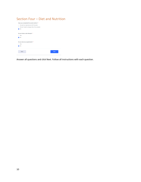#### <span id="page-10-0"></span>Section Four – Diet and Nutrition



Answer all questions and click Next. Follow all instructions with each question.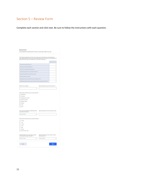#### Section 5 – Review Form

Complete each section and click next. Be sure to follow the instructions with each question.

| The following questions are for you to rate your levels before you started taking<br>LDN. Please rate the levels with I being extremely low, or almost non-existing and 10<br>being extremely high or intolerable, or any level in between. * |                                                         |
|-----------------------------------------------------------------------------------------------------------------------------------------------------------------------------------------------------------------------------------------------|---------------------------------------------------------|
|                                                                                                                                                                                                                                               | <b>Bate from 11x 10</b>                                 |
| How mes your Physical Paint Leoni                                                                                                                                                                                                             | ù                                                       |
| How mes your Physical Faligues Level                                                                                                                                                                                                          | $\vee$                                                  |
| ar 10m innen ing fat and nell-parent<br>Mas yo                                                                                                                                                                                                | $\ddot{ }$                                              |
| of severa para attrive for ex-<br>sale with him<br>H.<br>÷.                                                                                                                                                                                   | $\sim$                                                  |
| Did your Physical Environment meet your needs.                                                                                                                                                                                                | $\sim$                                                  |
| Missing possible by Firth site of y                                                                                                                                                                                                           | $\sim$                                                  |
| Here many must blu get information from your boothwares in                                                                                                                                                                                    | ü                                                       |
| Hear leady stat you had about hear good constitues of buils. I'm projety you a                                                                                                                                                                | $\sim$                                                  |
|                                                                                                                                                                                                                                               |                                                         |
|                                                                                                                                                                                                                                               |                                                         |
| What is your weight *                                                                                                                                                                                                                         | What exercise did you do last month .                   |
|                                                                                                                                                                                                                                               |                                                         |
| <b>Electric Scooter</b><br>Walking Frame                                                                                                                                                                                                      |                                                         |
| Rollator<br>ı<br>Holet<br>None<br>How many prescription reedications did<br>you take last month?                                                                                                                                              | What symptoms do you currently have?                    |
| Please Select<br>$\ddot{\phantom{0}}$                                                                                                                                                                                                         |                                                         |
|                                                                                                                                                                                                                                               |                                                         |
|                                                                                                                                                                                                                                               |                                                         |
|                                                                                                                                                                                                                                               |                                                         |
|                                                                                                                                                                                                                                               |                                                         |
|                                                                                                                                                                                                                                               |                                                         |
|                                                                                                                                                                                                                                               |                                                         |
| 3 <sup>2</sup>                                                                                                                                                                                                                                |                                                         |
| $-4.5mg$                                                                                                                                                                                                                                      |                                                         |
| Other: Enter Dosa                                                                                                                                                                                                                             |                                                         |
| What does of LDN are you currently taking? +<br>$O.05 \text{ ms}$<br>$O$ 1mg<br>0.15mg<br>O2ra<br>Approximately how many days a week<br>do you generally get dressed? +                                                                       | Approximately how many days a week<br>dio you go out? + |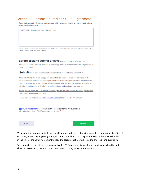#### <span id="page-12-0"></span>Section 6 – Personal Journal and GPDR Agreement

Personal Journal - Start each new entry with the current date to better track when your entries are made.

5/18/2022 - This is the start of my journal

You can choose to make entries as often as you like to track your health. Start each entry with the current date to better track the dates you made the entry.

Before clicking submit or save you can review or change your

information, using the back buttons. After making edits, use the next buttons to get back to the submit button.

Submit this form if you are are finished with all your edits and appenditures.

After submitting this form, a copy will be sent to the email address you provided in the personal information section, which you can then share with your doctor or pharmacist for them to monitor you if you choose. You will also receive a link at the end of the email that will allow you to return to this form to make updates and continue your journal.

Thank you for using our LDN Health Tracker App, we are confident it will be of great value to you and those monitoring you.

Please visit our website www.Idnresearchtrust.org for all our LDN information.

ODPR Agreement - I consent to this website storing my submitted information so that LDNRT can respond to me. \*

**Back** 

**Submit** 

When entering information in the personal journal, start each entry with a date to ensure proper tracking of each entry. After creating your journal, click the GPDR checkbox to agree, then click submit. You should click on the link for the GPDR Agreement to read the agreement before clicking the checkbox and submitting it.

Once submitted, you will receive an email with a PDF document listing all your entries and a link that will allow you to return to the form to make updates to your journal or information.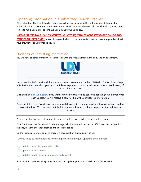## <span id="page-13-0"></span>Updating information in a submitted Health Tracker

After submitting the Health Tracker Form, you will receive an email with a pdf attachment showing the information you have entered or updated. In the text of the email, there will also be a link that you will need to use to make updates or to continue updating your running diary.

*YOU MUST USE THAT LINK TO VIEW YOUR HISTORY, UPDATE YOUR INFORMATION, OR ADD* 

*ENTRIES TO YOUR DIARY*. After clicking on the link, it is recommended that you save it to your favorites in your browser or on your mobile device.

#### <span id="page-13-1"></span>Updating your existing information

You will have an email from LDN Research Trust with the following text in the body and an attachment.



Attached is a PDF file with all the information you have entered in the LDN Health Tracker Form. Keep this file for your records as you can print it later to present to your health professional or send a copy of the pdf directly to them.

Click this link, **Edit Submission**, if you want to return to this form to continue updating your journal. After each update, you will receive a new PDF file with your updated information.

Save the link to your favorite places in your web browser to continue making edits anytime you need to access the form. You can only use this link to make edits and continued log entries that will keep a history.

Click on the link that says edit submission, and you will be taken back to your completed form.

Click Continue to the Terms and Conditions page, which should still be checked. If it is not checked, scroll to the end, click the checkbox again, and then click continue.

On the Personal information page, there is a new question that you must select.

Do you need to make updates to existing information or just updating your journal?

- ◯ Updates to existing information only
- Updates to Journal only
- ◯ Updates to both existing information and Journal

If you want to update existing information without updating the journal, click on the first selection.